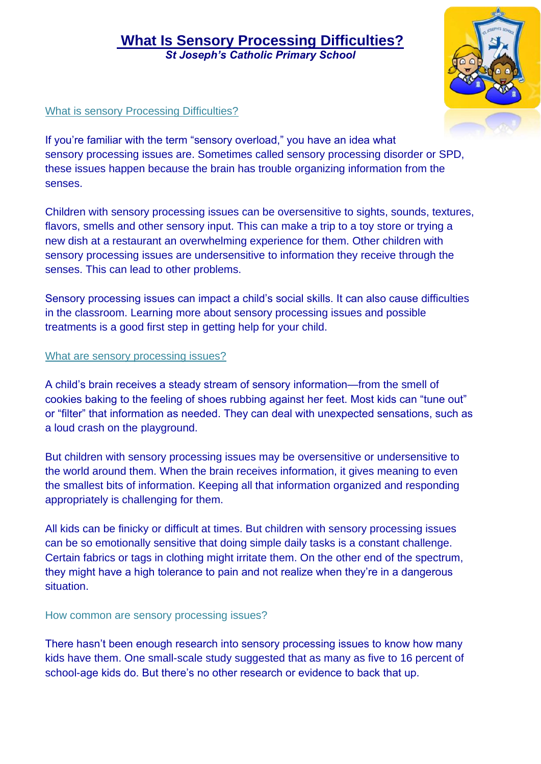## **What Is Sensory Processing Difficulties?** *St Joseph's Catholic Primary School*

### What is sensory Processing Difficulties?

If you're familiar with the term "sensory overload," you have an idea what sensory processing issues are. Sometimes called sensory processing disorder or SPD, these issues happen because the brain has trouble organizing information from the senses.

Children with sensory processing issues can be oversensitive to sights, sounds, textures, flavors, smells and other sensory input. This can make a trip to a toy store or trying a new dish at a restaurant an overwhelming experience for them. Other children with sensory processing issues are undersensitive to information they receive through the senses. This can lead to other problems.

Sensory processing issues can impact a child's social skills. It can also cause difficulties in the classroom. Learning more about sensory processing issues and possible treatments is a good first step in getting help for your child.

#### What are sensory processing issues?

A child's brain receives a steady stream of sensory information—from the smell of cookies baking to the feeling of shoes rubbing against her feet. Most kids can "tune out" or "filter" that information as needed. They can deal with unexpected sensations, such as a loud crash on the playground.

But children with sensory processing issues may be oversensitive or undersensitive to the world around them. When the brain receives information, it gives meaning to even the smallest bits of information. Keeping all that information organized and responding appropriately is challenging for them.

All kids can be finicky or difficult at times. But children with sensory processing issues can be so emotionally sensitive that doing simple daily tasks is a constant challenge. Certain fabrics or tags in clothing might irritate them. On the other end of the spectrum, they might have a high tolerance to pain and not realize when they're in a dangerous situation.

#### How common are sensory processing issues?

There hasn't been enough research into sensory processing issues to know how many kids have them. One small-scale study suggested that as many as five to 16 percent of school-age kids do. But there's no other research or evidence to back that up.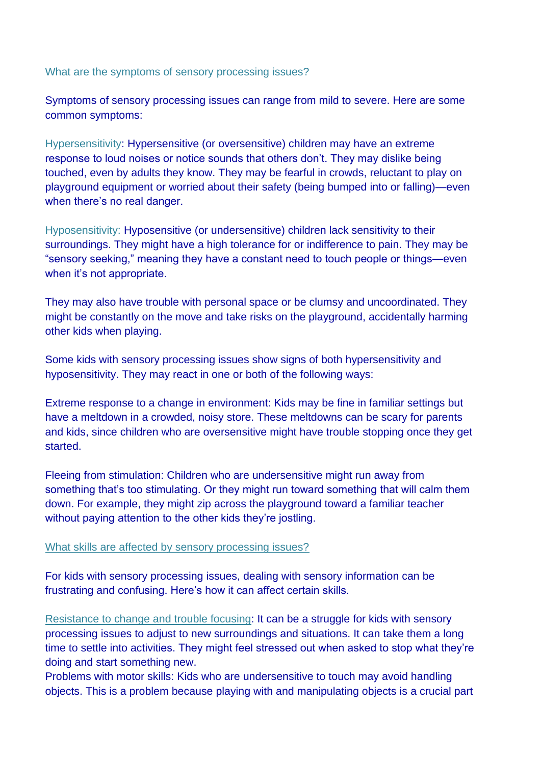What are the symptoms of sensory processing issues?

Symptoms of sensory processing issues can range from mild to severe. Here are some common symptoms:

Hypersensitivity: Hypersensitive (or oversensitive) children may have an extreme response to loud noises or notice sounds that others don't. They may dislike being touched, even by adults they know. They may be fearful in crowds, reluctant to play on playground equipment or worried about their safety (being bumped into or falling)—even when there's no real danger.

Hyposensitivity: Hyposensitive (or undersensitive) children lack sensitivity to their surroundings. They might have a high tolerance for or indifference to pain. They may be "sensory seeking," meaning they have a constant need to touch people or things—even when it's not appropriate.

They may also have trouble with personal space or be clumsy and uncoordinated. They might be constantly on the move and take risks on the playground, accidentally harming other kids when playing.

Some kids with sensory processing issues show signs of both hypersensitivity and hyposensitivity. They may react in one or both of the following ways:

Extreme response to a change in environment: Kids may be fine in familiar settings but have a meltdown in a crowded, noisy store. These meltdowns can be scary for parents and kids, since children who are oversensitive might have trouble stopping once they get started.

Fleeing from stimulation: Children who are undersensitive might run away from something that's too stimulating. Or they might run toward something that will calm them down. For example, they might zip across the playground toward a familiar teacher without paying attention to the other kids they're jostling.

#### What skills are affected by sensory processing issues?

For kids with sensory processing issues, dealing with sensory information can be frustrating and confusing. Here's how it can affect certain skills.

Resistance to change and trouble focusing: It can be a struggle for kids with sensory processing issues to adjust to new surroundings and situations. It can take them a long time to settle into activities. They might feel stressed out when asked to stop what they're doing and start something new.

Problems with motor skills: Kids who are undersensitive to touch may avoid handling objects. This is a problem because playing with and manipulating objects is a crucial part